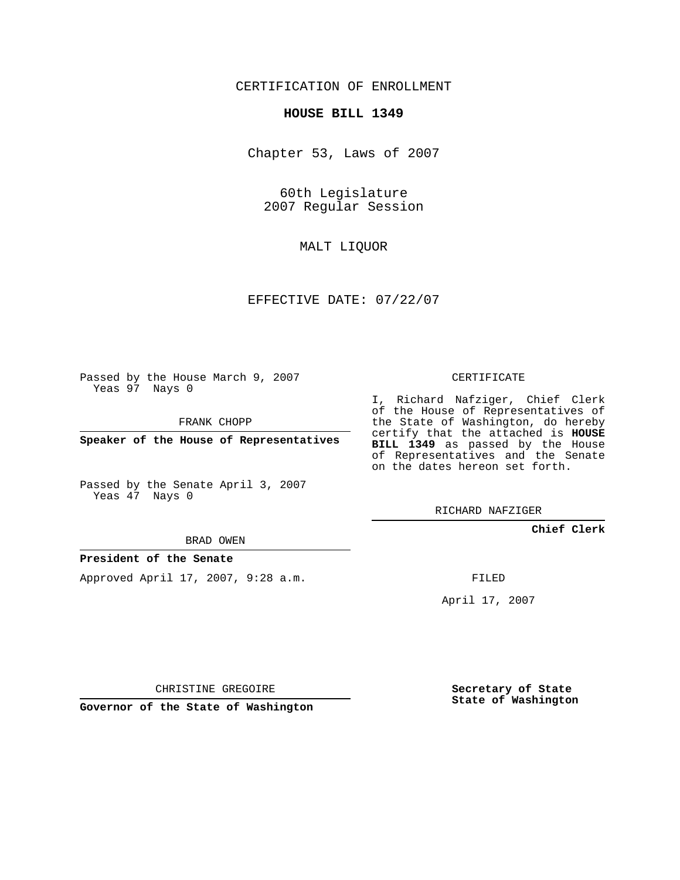CERTIFICATION OF ENROLLMENT

## **HOUSE BILL 1349**

Chapter 53, Laws of 2007

60th Legislature 2007 Regular Session

MALT LIQUOR

EFFECTIVE DATE: 07/22/07

Passed by the House March 9, 2007 Yeas 97 Nays 0

FRANK CHOPP

**Speaker of the House of Representatives**

Passed by the Senate April 3, 2007 Yeas 47 Nays 0

BRAD OWEN

**President of the Senate**

Approved April 17, 2007, 9:28 a.m.

CERTIFICATE

I, Richard Nafziger, Chief Clerk of the House of Representatives of the State of Washington, do hereby certify that the attached is **HOUSE BILL 1349** as passed by the House of Representatives and the Senate on the dates hereon set forth.

RICHARD NAFZIGER

**Chief Clerk**

FILED

April 17, 2007

CHRISTINE GREGOIRE

**Governor of the State of Washington**

**Secretary of State State of Washington**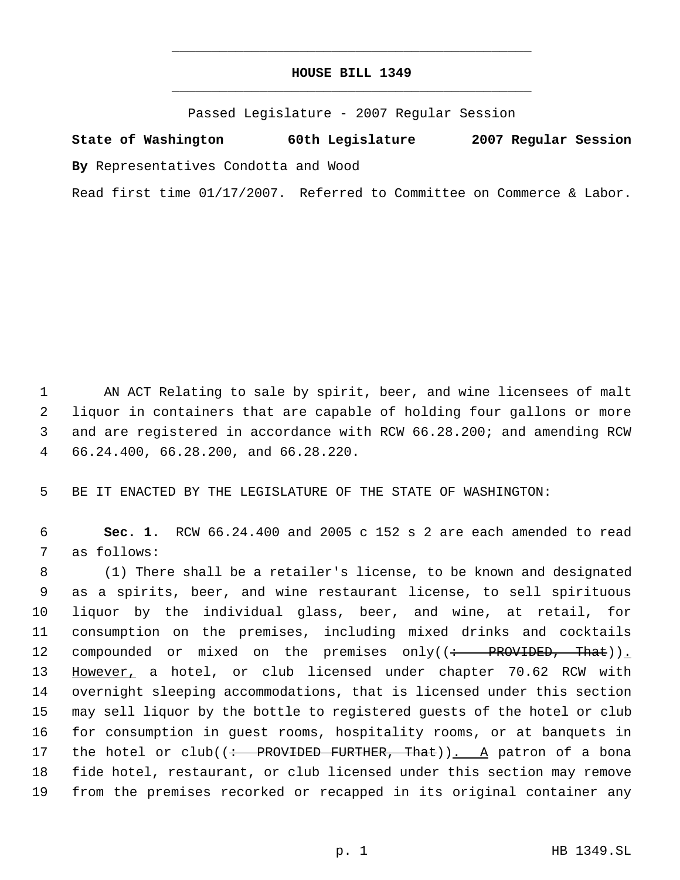## **HOUSE BILL 1349** \_\_\_\_\_\_\_\_\_\_\_\_\_\_\_\_\_\_\_\_\_\_\_\_\_\_\_\_\_\_\_\_\_\_\_\_\_\_\_\_\_\_\_\_\_

\_\_\_\_\_\_\_\_\_\_\_\_\_\_\_\_\_\_\_\_\_\_\_\_\_\_\_\_\_\_\_\_\_\_\_\_\_\_\_\_\_\_\_\_\_

Passed Legislature - 2007 Regular Session

**State of Washington 60th Legislature 2007 Regular Session By** Representatives Condotta and Wood

Read first time 01/17/2007. Referred to Committee on Commerce & Labor.

 AN ACT Relating to sale by spirit, beer, and wine licensees of malt liquor in containers that are capable of holding four gallons or more and are registered in accordance with RCW 66.28.200; and amending RCW 66.24.400, 66.28.200, and 66.28.220.

5 BE IT ENACTED BY THE LEGISLATURE OF THE STATE OF WASHINGTON:

 6 **Sec. 1.** RCW 66.24.400 and 2005 c 152 s 2 are each amended to read 7 as follows:

 (1) There shall be a retailer's license, to be known and designated as a spirits, beer, and wine restaurant license, to sell spirituous liquor by the individual glass, beer, and wine, at retail, for consumption on the premises, including mixed drinks and cocktails 12 compounded or mixed on the premises only((: PROVIDED, That)). 13 However, a hotel, or club licensed under chapter 70.62 RCW with overnight sleeping accommodations, that is licensed under this section may sell liquor by the bottle to registered guests of the hotel or club for consumption in guest rooms, hospitality rooms, or at banquets in 17 the hotel or club((: PROVIDED FURTHER, That)). A patron of a bona fide hotel, restaurant, or club licensed under this section may remove from the premises recorked or recapped in its original container any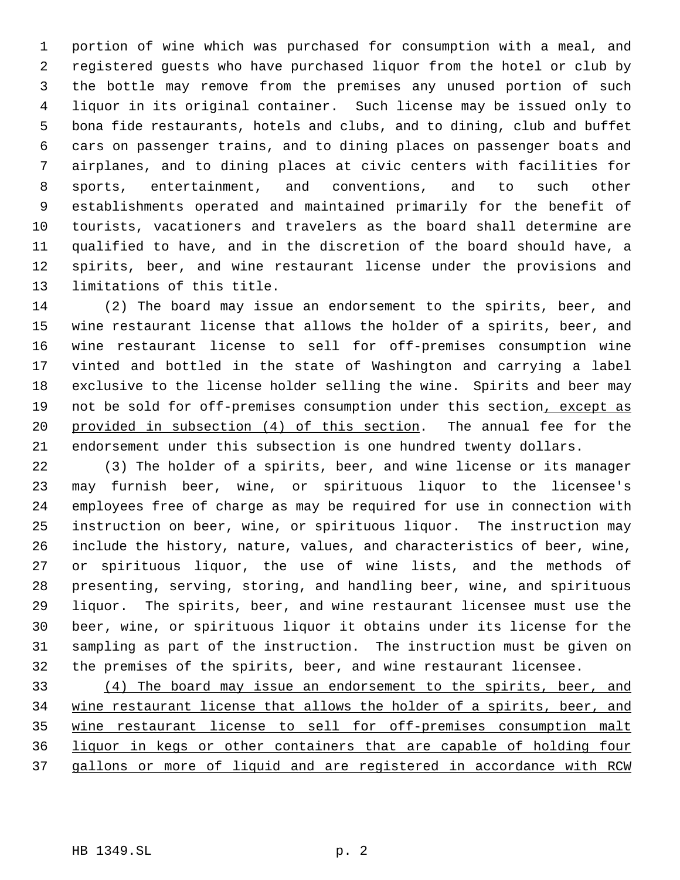portion of wine which was purchased for consumption with a meal, and registered guests who have purchased liquor from the hotel or club by the bottle may remove from the premises any unused portion of such liquor in its original container. Such license may be issued only to bona fide restaurants, hotels and clubs, and to dining, club and buffet cars on passenger trains, and to dining places on passenger boats and airplanes, and to dining places at civic centers with facilities for sports, entertainment, and conventions, and to such other establishments operated and maintained primarily for the benefit of tourists, vacationers and travelers as the board shall determine are qualified to have, and in the discretion of the board should have, a spirits, beer, and wine restaurant license under the provisions and limitations of this title.

 (2) The board may issue an endorsement to the spirits, beer, and wine restaurant license that allows the holder of a spirits, beer, and wine restaurant license to sell for off-premises consumption wine vinted and bottled in the state of Washington and carrying a label exclusive to the license holder selling the wine. Spirits and beer may 19 not be sold for off-premises consumption under this section, except as provided in subsection (4) of this section. The annual fee for the endorsement under this subsection is one hundred twenty dollars.

 (3) The holder of a spirits, beer, and wine license or its manager may furnish beer, wine, or spirituous liquor to the licensee's employees free of charge as may be required for use in connection with instruction on beer, wine, or spirituous liquor. The instruction may include the history, nature, values, and characteristics of beer, wine, or spirituous liquor, the use of wine lists, and the methods of presenting, serving, storing, and handling beer, wine, and spirituous liquor. The spirits, beer, and wine restaurant licensee must use the beer, wine, or spirituous liquor it obtains under its license for the sampling as part of the instruction. The instruction must be given on the premises of the spirits, beer, and wine restaurant licensee.

 (4) The board may issue an endorsement to the spirits, beer, and wine restaurant license that allows the holder of a spirits, beer, and wine restaurant license to sell for off-premises consumption malt liquor in kegs or other containers that are capable of holding four gallons or more of liquid and are registered in accordance with RCW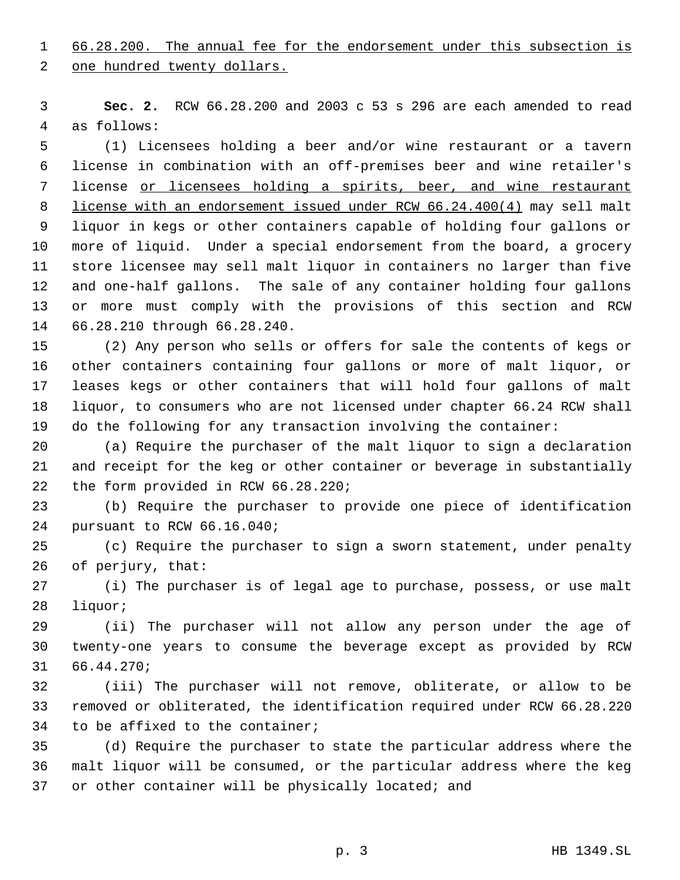66.28.200. The annual fee for the endorsement under this subsection is 2 one hundred twenty dollars.

 **Sec. 2.** RCW 66.28.200 and 2003 c 53 s 296 are each amended to read as follows:

 (1) Licensees holding a beer and/or wine restaurant or a tavern license in combination with an off-premises beer and wine retailer's license or licensees holding a spirits, beer, and wine restaurant 8 license with an endorsement issued under RCW 66.24.400(4) may sell malt liquor in kegs or other containers capable of holding four gallons or more of liquid. Under a special endorsement from the board, a grocery store licensee may sell malt liquor in containers no larger than five and one-half gallons. The sale of any container holding four gallons or more must comply with the provisions of this section and RCW 66.28.210 through 66.28.240.

 (2) Any person who sells or offers for sale the contents of kegs or other containers containing four gallons or more of malt liquor, or leases kegs or other containers that will hold four gallons of malt liquor, to consumers who are not licensed under chapter 66.24 RCW shall do the following for any transaction involving the container:

 (a) Require the purchaser of the malt liquor to sign a declaration and receipt for the keg or other container or beverage in substantially the form provided in RCW 66.28.220;

 (b) Require the purchaser to provide one piece of identification pursuant to RCW 66.16.040;

 (c) Require the purchaser to sign a sworn statement, under penalty of perjury, that:

 (i) The purchaser is of legal age to purchase, possess, or use malt liquor;

 (ii) The purchaser will not allow any person under the age of twenty-one years to consume the beverage except as provided by RCW 66.44.270;

 (iii) The purchaser will not remove, obliterate, or allow to be removed or obliterated, the identification required under RCW 66.28.220 to be affixed to the container;

 (d) Require the purchaser to state the particular address where the malt liquor will be consumed, or the particular address where the keg or other container will be physically located; and